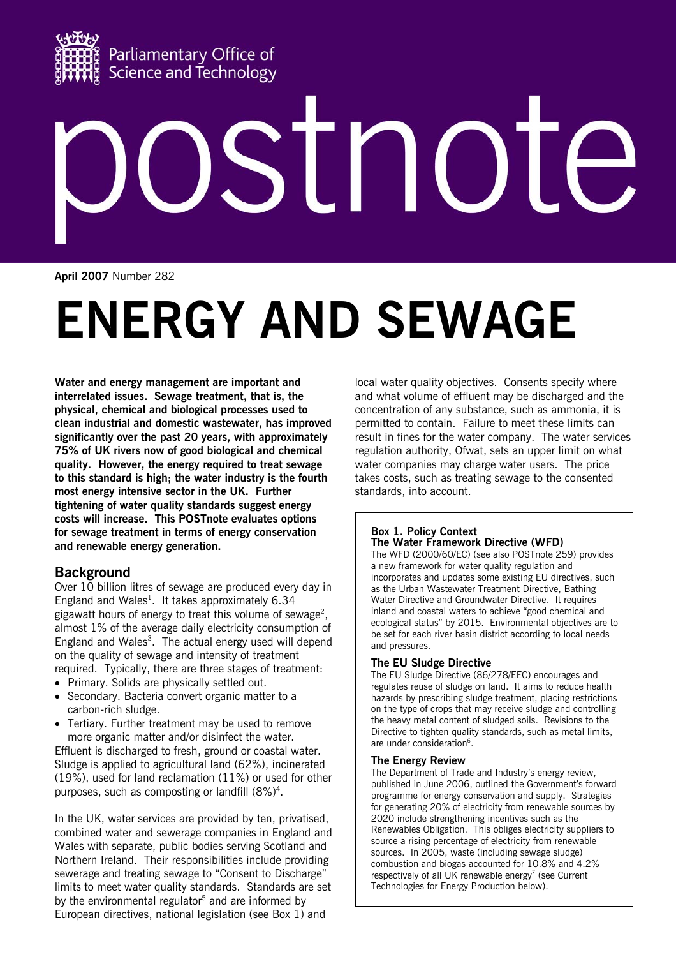

# STNO<sup>1</sup>

**April 2007** Number 282

# **ENERGY AND SEWAGE**

**Water and energy management are important and interrelated issues. Sewage treatment, that is, the physical, chemical and biological processes used to clean industrial and domestic wastewater, has improved significantly over the past 20 years, with approximately 75% of UK rivers now of good biological and chemical quality. However, the energy required to treat sewage to this standard is high; the water industry is the fourth most energy intensive sector in the UK. Further tightening of water quality standards suggest energy costs will increase. This POSTnote evaluates options for sewage treatment in terms of energy conservation and renewable energy generation.** 

# **Background**

Over 10 billion litres of sewage are produced every day in England and Wales<sup>1</sup>. It takes approximately 6.34 gigawatt hours of energy to treat this volume of sewage<sup>2</sup>, almost 1% of the average daily electricity consumption of England and Wales<sup>3</sup>. The actual energy used will depend on the quality of sewage and intensity of treatment required. Typically, there are three stages of treatment:

- Primary. Solids are physically settled out.
- Secondary. Bacteria convert organic matter to a carbon-rich sludge.
- Tertiary. Further treatment may be used to remove more organic matter and/or disinfect the water.

Effluent is discharged to fresh, ground or coastal water. Sludge is applied to agricultural land (62%), incinerated (19%), used for land reclamation (11%) or used for other purposes, such as composting or landfill (8%)<sup>4</sup>.

In the UK, water services are provided by ten, privatised, combined water and sewerage companies in England and Wales with separate, public bodies serving Scotland and Northern Ireland. Their responsibilities include providing sewerage and treating sewage to "Consent to Discharge" limits to meet water quality standards. Standards are set by the environmental regulator<sup>5</sup> and are informed by European directives, national legislation (see Box 1) and

local water quality objectives. Consents specify where and what volume of effluent may be discharged and the concentration of any substance, such as ammonia, it is permitted to contain. Failure to meet these limits can result in fines for the water company. The water services regulation authority, Ofwat, sets an upper limit on what water companies may charge water users. The price takes costs, such as treating sewage to the consented standards, into account.

#### **Box 1. Policy Context The Water Framework Directive (WFD)**

The WFD (2000/60/EC) (see also POSTnote 259) provides a new framework for water quality regulation and incorporates and updates some existing EU directives, such as the Urban Wastewater Treatment Directive, Bathing Water Directive and Groundwater Directive. It requires inland and coastal waters to achieve "good chemical and ecological status" by 2015. Environmental objectives are to be set for each river basin district according to local needs and pressures.

# **The EU Sludge Directive**

The EU Sludge Directive (86/278/EEC) encourages and regulates reuse of sludge on land. It aims to reduce health hazards by prescribing sludge treatment, placing restrictions on the type of crops that may receive sludge and controlling the heavy metal content of sludged soils. Revisions to the Directive to tighten quality standards, such as metal limits, are under consideration<sup>6</sup>.

# **The Energy Review**

The Department of Trade and Industry's energy review, published in June 2006, outlined the Government's forward programme for energy conservation and supply. Strategies for generating 20% of electricity from renewable sources by 2020 include strengthening incentives such as the Renewables Obligation. This obliges electricity suppliers to source a rising percentage of electricity from renewable sources. In 2005, waste (including sewage sludge) combustion and biogas accounted for 10.8% and 4.2% respectively of all UK renewable energy<sup>7</sup> (see Current Technologies for Energy Production below).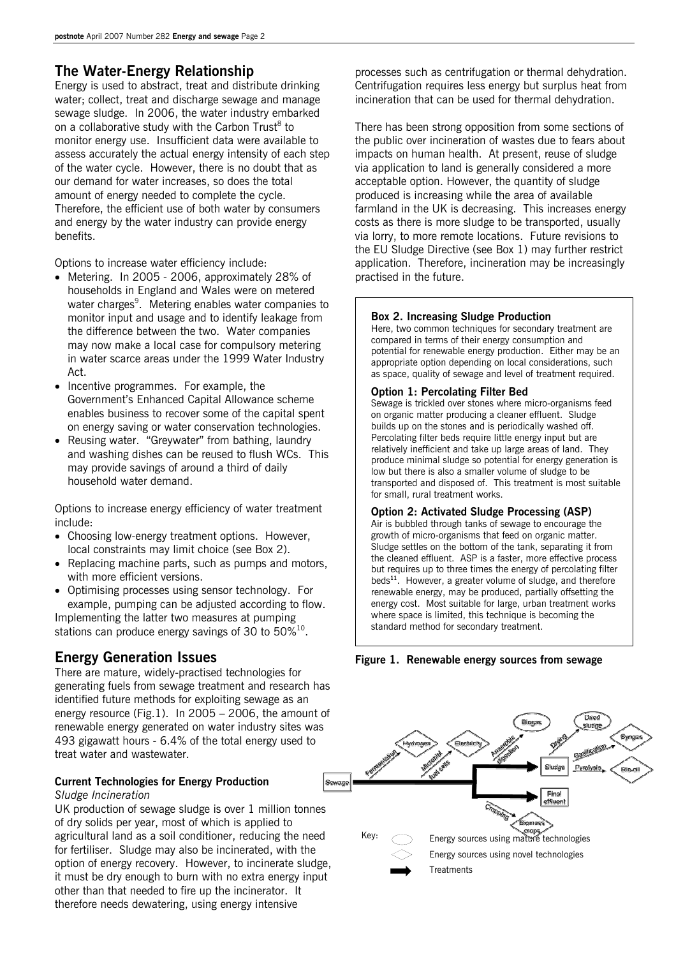# **The Water-Energy Relationship**

Energy is used to abstract, treat and distribute drinking water; collect, treat and discharge sewage and manage sewage sludge. In 2006, the water industry embarked on a collaborative study with the Carbon Trust<sup>8</sup> to monitor energy use. Insufficient data were available to assess accurately the actual energy intensity of each step of the water cycle. However, there is no doubt that as our demand for water increases, so does the total amount of energy needed to complete the cycle. Therefore, the efficient use of both water by consumers and energy by the water industry can provide energy benefits.

Options to increase water efficiency include:

- Metering. In 2005 2006, approximately 28% of households in England and Wales were on metered water charges<sup>9</sup>. Metering enables water companies to monitor input and usage and to identify leakage from the difference between the two. Water companies may now make a local case for compulsory metering in water scarce areas under the 1999 Water Industry Act.
- Incentive programmes. For example, the Government's Enhanced Capital Allowance scheme enables business to recover some of the capital spent on energy saving or water conservation technologies.
- Reusing water. "Greywater" from bathing, laundry and washing dishes can be reused to flush WCs. This may provide savings of around a third of daily household water demand.

Options to increase energy efficiency of water treatment include:

- Choosing low-energy treatment options. However, local constraints may limit choice (see Box 2).
- Replacing machine parts, such as pumps and motors, with more efficient versions.
- Optimising processes using sensor technology. For example, pumping can be adjusted according to flow.

Implementing the latter two measures at pumping stations can produce energy savings of 30 to  $50\%^{10}$ .

# **Energy Generation Issues**

There are mature, widely-practised technologies for generating fuels from sewage treatment and research has identified future methods for exploiting sewage as an energy resource (Fig.1). In 2005 – 2006, the amount of renewable energy generated on water industry sites was 493 gigawatt hours - 6.4% of the total energy used to treat water and wastewater.

# **Current Technologies for Energy Production**

*Sludge Incineration* 

UK production of sewage sludge is over 1 million tonnes of dry solids per year, most of which is applied to agricultural land as a soil conditioner, reducing the need for fertiliser. Sludge may also be incinerated, with the option of energy recovery. However, to incinerate sludge, it must be dry enough to burn with no extra energy input other than that needed to fire up the incinerator. It therefore needs dewatering, using energy intensive

processes such as centrifugation or thermal dehydration. Centrifugation requires less energy but surplus heat from incineration that can be used for thermal dehydration.

There has been strong opposition from some sections of the public over incineration of wastes due to fears about impacts on human health. At present, reuse of sludge via application to land is generally considered a more acceptable option. However, the quantity of sludge produced is increasing while the area of available farmland in the UK is decreasing. This increases energy costs as there is more sludge to be transported, usually via lorry, to more remote locations. Future revisions to the EU Sludge Directive (see Box 1) may further restrict application. Therefore, incineration may be increasingly practised in the future.

# **Box 2. Increasing Sludge Production**

Here, two common techniques for secondary treatment are compared in terms of their energy consumption and potential for renewable energy production. Either may be an appropriate option depending on local considerations, such as space, quality of sewage and level of treatment required.

# **Option 1: Percolating Filter Bed**

Sewage is trickled over stones where micro-organisms feed on organic matter producing a cleaner effluent. Sludge builds up on the stones and is periodically washed off. Percolating filter beds require little energy input but are relatively inefficient and take up large areas of land. They produce minimal sludge so potential for energy generation is low but there is also a smaller volume of sludge to be transported and disposed of. This treatment is most suitable for small, rural treatment works.

# **Option 2: Activated Sludge Processing (ASP)**

Air is bubbled through tanks of sewage to encourage the growth of micro-organisms that feed on organic matter. Sludge settles on the bottom of the tank, separating it from the cleaned effluent. ASP is a faster, more effective process but requires up to three times the energy of percolating filter beds**<sup>11</sup>**. However, a greater volume of sludge, and therefore renewable energy, may be produced, partially offsetting the energy cost. Most suitable for large, urban treatment works where space is limited, this technique is becoming the standard method for secondary treatment.



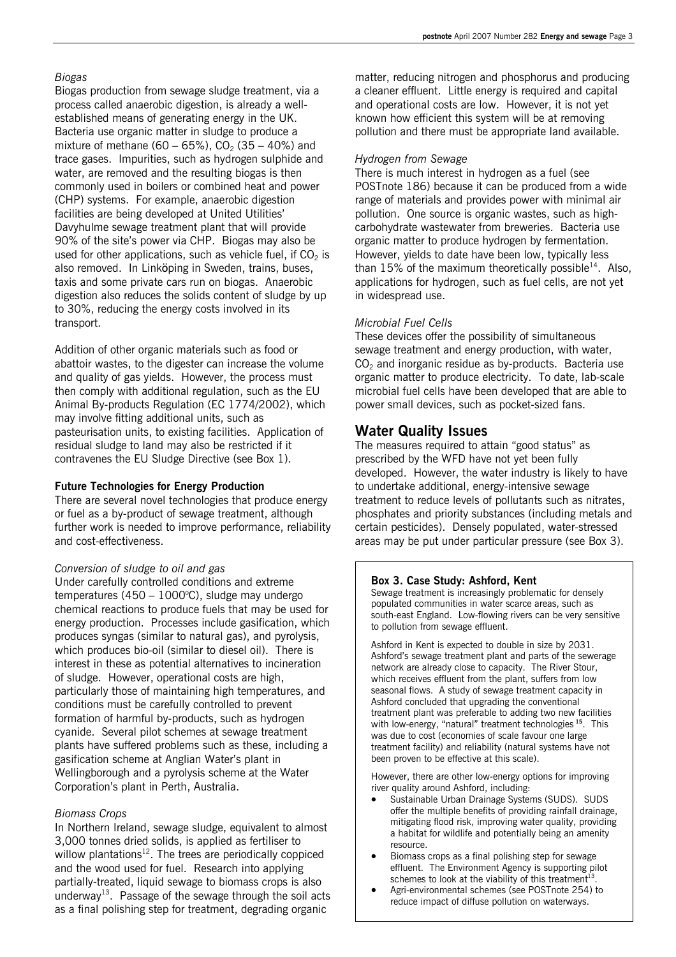#### *Biogas*

Biogas production from sewage sludge treatment, via a process called anaerobic digestion, is already a wellestablished means of generating energy in the UK. Bacteria use organic matter in sludge to produce a mixture of methane (60 – 65%),  $CO<sub>2</sub>$  (35 – 40%) and trace gases. Impurities, such as hydrogen sulphide and water, are removed and the resulting biogas is then commonly used in boilers or combined heat and power (CHP) systems. For example, anaerobic digestion facilities are being developed at United Utilities' Davyhulme sewage treatment plant that will provide 90% of the site's power via CHP. Biogas may also be used for other applications, such as vehicle fuel, if  $CO<sub>2</sub>$  is also removed. In Linköping in Sweden, trains, buses, taxis and some private cars run on biogas. Anaerobic digestion also reduces the solids content of sludge by up to 30%, reducing the energy costs involved in its transport.

Addition of other organic materials such as food or abattoir wastes, to the digester can increase the volume and quality of gas yields. However, the process must then comply with additional regulation, such as the EU Animal By-products Regulation (EC 1774/2002), which may involve fitting additional units, such as pasteurisation units, to existing facilities. Application of residual sludge to land may also be restricted if it contravenes the EU Sludge Directive (see Box 1).

#### **Future Technologies for Energy Production**

There are several novel technologies that produce energy or fuel as a by-product of sewage treatment, although further work is needed to improve performance, reliability and cost-effectiveness.

#### *Conversion of sludge to oil and gas*

Under carefully controlled conditions and extreme temperatures (450 - 1000°C), sludge may undergo chemical reactions to produce fuels that may be used for energy production. Processes include gasification, which produces syngas (similar to natural gas), and pyrolysis, which produces bio-oil (similar to diesel oil). There is interest in these as potential alternatives to incineration of sludge. However, operational costs are high, particularly those of maintaining high temperatures, and conditions must be carefully controlled to prevent formation of harmful by-products, such as hydrogen cyanide. Several pilot schemes at sewage treatment plants have suffered problems such as these, including a gasification scheme at Anglian Water's plant in Wellingborough and a pyrolysis scheme at the Water Corporation's plant in Perth, Australia.

#### *Biomass Crops*

In Northern Ireland, sewage sludge, equivalent to almost 3,000 tonnes dried solids, is applied as fertiliser to willow plantations<sup>12</sup>. The trees are periodically coppiced and the wood used for fuel. Research into applying partially-treated, liquid sewage to biomass crops is also underway<sup>13</sup>. Passage of the sewage through the soil acts as a final polishing step for treatment, degrading organic

matter, reducing nitrogen and phosphorus and producing a cleaner effluent. Little energy is required and capital and operational costs are low. However, it is not yet known how efficient this system will be at removing pollution and there must be appropriate land available.

# *Hydrogen from Sewage*

There is much interest in hydrogen as a fuel (see POSTnote 186) because it can be produced from a wide range of materials and provides power with minimal air pollution. One source is organic wastes, such as highcarbohydrate wastewater from breweries. Bacteria use organic matter to produce hydrogen by fermentation. However, yields to date have been low, typically less than 15% of the maximum theoretically possible<sup>14</sup>. Also, applications for hydrogen, such as fuel cells, are not yet in widespread use.

#### *Microbial Fuel Cells*

These devices offer the possibility of simultaneous sewage treatment and energy production, with water,  $CO<sub>2</sub>$  and inorganic residue as by-products. Bacteria use organic matter to produce electricity. To date, lab-scale microbial fuel cells have been developed that are able to power small devices, such as pocket-sized fans.

# **Water Quality Issues**

The measures required to attain "good status" as prescribed by the WFD have not yet been fully developed. However, the water industry is likely to have to undertake additional, energy-intensive sewage treatment to reduce levels of pollutants such as nitrates, phosphates and priority substances (including metals and certain pesticides). Densely populated, water-stressed areas may be put under particular pressure (see Box 3).

#### **Box 3. Case Study: Ashford, Kent**

Sewage treatment is increasingly problematic for densely populated communities in water scarce areas, such as south-east England. Low-flowing rivers can be very sensitive to pollution from sewage effluent.

Ashford in Kent is expected to double in size by 2031. Ashford's sewage treatment plant and parts of the sewerage network are already close to capacity. The River Stour, which receives effluent from the plant, suffers from low seasonal flows. A study of sewage treatment capacity in Ashford concluded that upgrading the conventional treatment plant was preferable to adding two new facilities with low-energy, "natural" treatment technologies**<sup>15</sup>**. This was due to cost (economies of scale favour one large treatment facility) and reliability (natural systems have not been proven to be effective at this scale).

However, there are other low-energy options for improving river quality around Ashford, including:

- Sustainable Urban Drainage Systems (SUDS). SUDS offer the multiple benefits of providing rainfall drainage, mitigating flood risk, improving water quality, providing a habitat for wildlife and potentially being an amenity resource.
- Biomass crops as a final polishing step for sewage effluent. The Environment Agency is supporting pilot schemes to look at the viability of this treatment<sup>13</sup>.
- Agri-environmental schemes (see POSTnote 254) to reduce impact of diffuse pollution on waterways.